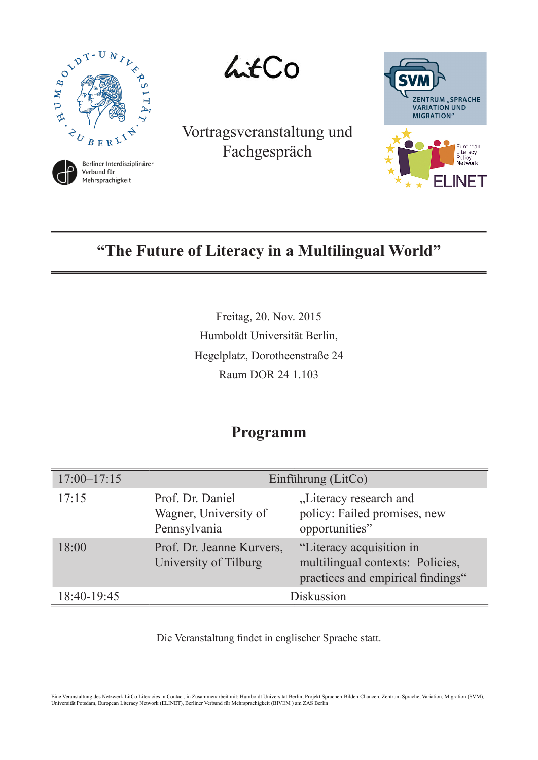

Mehrsprachigkeit

LitCo

Vortragsveranstaltung und Fachgespräch



# **"The Future of Literacy in a Multilingual World"**

Freitag, 20. Nov. 2015 Humboldt Universität Berlin, Hegelplatz, Dorotheenstraße 24 Raum DOR 24 1.103

## **Programm**

| $17:00 - 17:15$ | Einführung (LitCo)                                        |                                                                                                   |
|-----------------|-----------------------------------------------------------|---------------------------------------------------------------------------------------------------|
| 17:15           | Prof. Dr. Daniel<br>Wagner, University of<br>Pennsylvania | "Literacy research and<br>policy: Failed promises, new<br>opportunities"                          |
| 18:00           | Prof. Dr. Jeanne Kurvers,<br>University of Tilburg        | "Literacy acquisition in<br>multilingual contexts: Policies,<br>practices and empirical findings" |
| 18:40-19:45     | Diskussion                                                |                                                                                                   |

Die Veranstaltung fndet in englischer Sprache statt.

Eine Veranstaltung des Netzwerk LitCo Literacies in Contact, in Zusammenarbeit mit: Humboldt Universität Berlin, Projekt Sprachen-Bilden-Chancen, Zentrum Sprache, Variation, Migration (SVM), Universität Potsdam, European Literacy Network (ELINET), Berliner Verbund für Mehrsprachigkeit (BIVEM ) am ZAS Berlin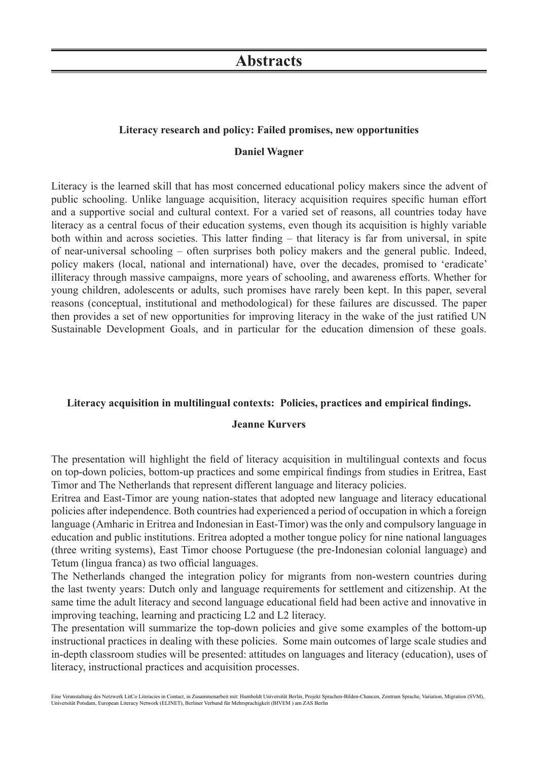## **Literacy research and policy: Failed promises, new opportunities**

### **Daniel Wagner**

Literacy is the learned skill that has most concerned educational policy makers since the advent of public schooling. Unlike language acquisition, literacy acquisition requires specifc human effort and a supportive social and cultural context. For a varied set of reasons, all countries today have literacy as a central focus of their education systems, even though its acquisition is highly variable both within and across societies. This latter fnding – that literacy is far from universal, in spite of near-universal schooling – often surprises both policy makers and the general public. Indeed, policy makers (local, national and international) have, over the decades, promised to 'eradicate' illiteracy through massive campaigns, more years of schooling, and awareness efforts. Whether for young children, adolescents or adults, such promises have rarely been kept. In this paper, several reasons (conceptual, institutional and methodological) for these failures are discussed. The paper then provides a set of new opportunities for improving literacy in the wake of the just ratifed UN Sustainable Development Goals, and in particular for the education dimension of these goals.

#### **Literacy acquisition in multilingual contexts: Policies, practices and empirical fndings.**

#### **Jeanne Kurvers**

The presentation will highlight the feld of literacy acquisition in multilingual contexts and focus on top-down policies, bottom-up practices and some empirical fndings from studies in Eritrea, East Timor and The Netherlands that represent different language and literacy policies.

Eritrea and East-Timor are young nation-states that adopted new language and literacy educational policies after independence. Both countries had experienced a period of occupation in which a foreign language (Amharic in Eritrea and Indonesian in East-Timor) was the only and compulsory language in education and public institutions. Eritrea adopted a mother tongue policy for nine national languages (three writing systems), East Timor choose Portuguese (the pre-Indonesian colonial language) and Tetum (lingua franca) as two official languages.

The Netherlands changed the integration policy for migrants from non-western countries during the last twenty years: Dutch only and language requirements for settlement and citizenship. At the same time the adult literacy and second language educational feld had been active and innovative in improving teaching, learning and practicing L2 and L2 literacy.

The presentation will summarize the top-down policies and give some examples of the bottom-up instructional practices in dealing with these policies. Some main outcomes of large scale studies and in-depth classroom studies will be presented: attitudes on languages and literacy (education), uses of literacy, instructional practices and acquisition processes.

Eine Veranstaltung des Netzwerk LitCo Literacies in Contact, in Zusammenarbeit mit: Humboldt Universität Berlin, Projekt Sprachen-Bilden-Chancen, Zentrum Sprache, Variation, Migration (SVM), Universität Potsdam, European Literacy Network (ELINET), Berliner Verbund für Mehrsprachigkeit (BIVEM ) am ZAS Berlin